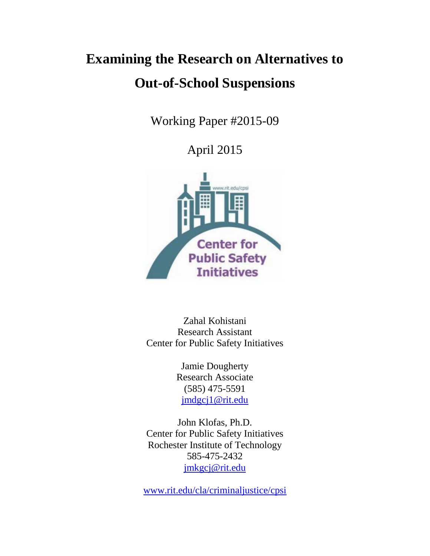# **Examining the Research on Alternatives to Out-of-School Suspensions**

Working Paper #2015-09

April 2015



Zahal Kohistani Research Assistant Center for Public Safety Initiatives

> Jamie Dougherty Research Associate (585) 475-5591 [jmdgcj1@rit.edu](mailto:jmdgcj1@rit.edu)

John Klofas, Ph.D. Center for Public Safety Initiatives Rochester Institute of Technology 585-475-2432 [jmkgcj@rit.edu](mailto:jmkgcj@rit.edu)

[www.rit.edu/cla/criminaljustice/cpsi](http://www.rit.edu/cla/criminaljustice/cpsi)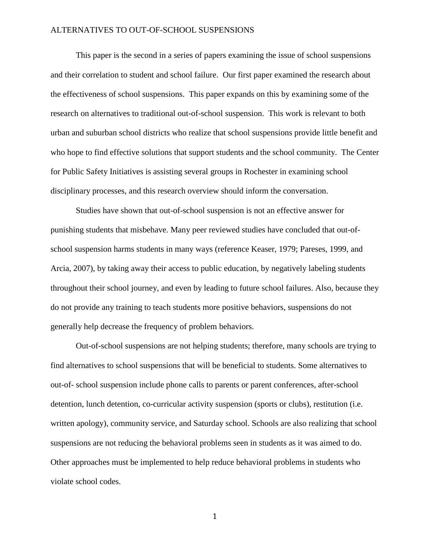This paper is the second in a series of papers examining the issue of school suspensions and their correlation to student and school failure. Our first paper examined the research about the effectiveness of school suspensions. This paper expands on this by examining some of the research on alternatives to traditional out-of-school suspension. This work is relevant to both urban and suburban school districts who realize that school suspensions provide little benefit and who hope to find effective solutions that support students and the school community. The Center for Public Safety Initiatives is assisting several groups in Rochester in examining school disciplinary processes, and this research overview should inform the conversation.

Studies have shown that out-of-school suspension is not an effective answer for punishing students that misbehave. Many peer reviewed studies have concluded that out-ofschool suspension harms students in many ways (reference Keaser, 1979; Pareses, 1999, and Arcia, 2007), by taking away their access to public education, by negatively labeling students throughout their school journey, and even by leading to future school failures. Also, because they do not provide any training to teach students more positive behaviors, suspensions do not generally help decrease the frequency of problem behaviors.

Out-of-school suspensions are not helping students; therefore, many schools are trying to find alternatives to school suspensions that will be beneficial to students. Some alternatives to out-of- school suspension include phone calls to parents or parent conferences, after-school detention, lunch detention, co-curricular activity suspension (sports or clubs), restitution (i.e. written apology), community service, and Saturday school. Schools are also realizing that school suspensions are not reducing the behavioral problems seen in students as it was aimed to do. Other approaches must be implemented to help reduce behavioral problems in students who violate school codes.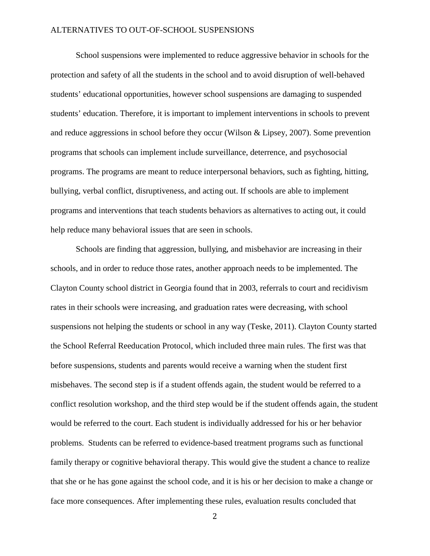School suspensions were implemented to reduce aggressive behavior in schools for the protection and safety of all the students in the school and to avoid disruption of well-behaved students' educational opportunities, however school suspensions are damaging to suspended students' education. Therefore, it is important to implement interventions in schools to prevent and reduce aggressions in school before they occur (Wilson & Lipsey, 2007). Some prevention programs that schools can implement include surveillance, deterrence, and psychosocial programs. The programs are meant to reduce interpersonal behaviors, such as fighting, hitting, bullying, verbal conflict, disruptiveness, and acting out. If schools are able to implement programs and interventions that teach students behaviors as alternatives to acting out, it could help reduce many behavioral issues that are seen in schools.

Schools are finding that aggression, bullying, and misbehavior are increasing in their schools, and in order to reduce those rates, another approach needs to be implemented. The Clayton County school district in Georgia found that in 2003, referrals to court and recidivism rates in their schools were increasing, and graduation rates were decreasing, with school suspensions not helping the students or school in any way (Teske, 2011). Clayton County started the School Referral Reeducation Protocol, which included three main rules. The first was that before suspensions, students and parents would receive a warning when the student first misbehaves. The second step is if a student offends again, the student would be referred to a conflict resolution workshop, and the third step would be if the student offends again, the student would be referred to the court. Each student is individually addressed for his or her behavior problems. Students can be referred to evidence-based treatment programs such as functional family therapy or cognitive behavioral therapy. This would give the student a chance to realize that she or he has gone against the school code, and it is his or her decision to make a change or face more consequences. After implementing these rules, evaluation results concluded that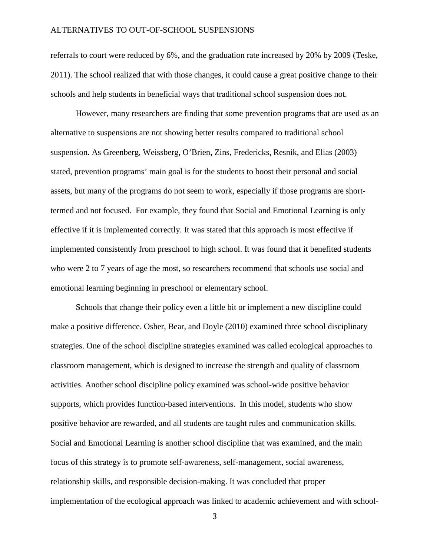referrals to court were reduced by 6%, and the graduation rate increased by 20% by 2009 (Teske, 2011). The school realized that with those changes, it could cause a great positive change to their schools and help students in beneficial ways that traditional school suspension does not.

However, many researchers are finding that some prevention programs that are used as an alternative to suspensions are not showing better results compared to traditional school suspension. As Greenberg, Weissberg, O'Brien, Zins, Fredericks, Resnik, and Elias (2003) stated, prevention programs' main goal is for the students to boost their personal and social assets, but many of the programs do not seem to work, especially if those programs are shorttermed and not focused. For example, they found that Social and Emotional Learning is only effective if it is implemented correctly. It was stated that this approach is most effective if implemented consistently from preschool to high school. It was found that it benefited students who were 2 to 7 years of age the most, so researchers recommend that schools use social and emotional learning beginning in preschool or elementary school.

Schools that change their policy even a little bit or implement a new discipline could make a positive difference. Osher, Bear, and Doyle (2010) examined three school disciplinary strategies. One of the school discipline strategies examined was called ecological approaches to classroom management, which is designed to increase the strength and quality of classroom activities. Another school discipline policy examined was school-wide positive behavior supports, which provides function-based interventions. In this model, students who show positive behavior are rewarded, and all students are taught rules and communication skills. Social and Emotional Learning is another school discipline that was examined, and the main focus of this strategy is to promote self-awareness, self-management, social awareness, relationship skills, and responsible decision-making. It was concluded that proper implementation of the ecological approach was linked to academic achievement and with school-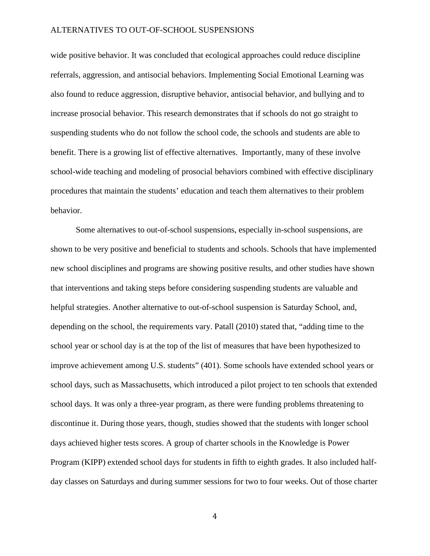wide positive behavior. It was concluded that ecological approaches could reduce discipline referrals, aggression, and antisocial behaviors. Implementing Social Emotional Learning was also found to reduce aggression, disruptive behavior, antisocial behavior, and bullying and to increase prosocial behavior. This research demonstrates that if schools do not go straight to suspending students who do not follow the school code, the schools and students are able to benefit. There is a growing list of effective alternatives. Importantly, many of these involve school-wide teaching and modeling of prosocial behaviors combined with effective disciplinary procedures that maintain the students' education and teach them alternatives to their problem behavior.

Some alternatives to out-of-school suspensions, especially in-school suspensions, are shown to be very positive and beneficial to students and schools. Schools that have implemented new school disciplines and programs are showing positive results, and other studies have shown that interventions and taking steps before considering suspending students are valuable and helpful strategies. Another alternative to out-of-school suspension is Saturday School, and, depending on the school, the requirements vary. Patall (2010) stated that, "adding time to the school year or school day is at the top of the list of measures that have been hypothesized to improve achievement among U.S. students" (401). Some schools have extended school years or school days, such as Massachusetts, which introduced a pilot project to ten schools that extended school days. It was only a three-year program, as there were funding problems threatening to discontinue it. During those years, though, studies showed that the students with longer school days achieved higher tests scores. A group of charter schools in the Knowledge is Power Program (KIPP) extended school days for students in fifth to eighth grades. It also included halfday classes on Saturdays and during summer sessions for two to four weeks. Out of those charter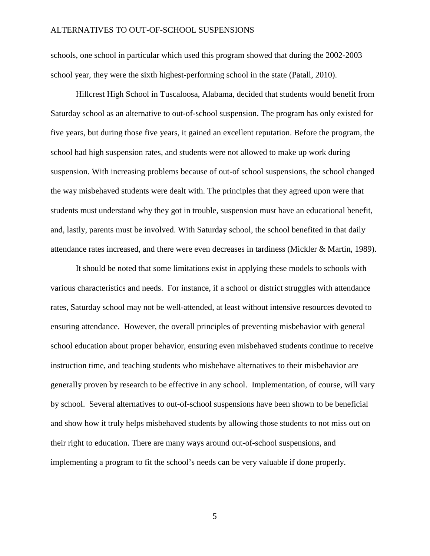schools, one school in particular which used this program showed that during the 2002-2003 school year, they were the sixth highest-performing school in the state (Patall, 2010).

Hillcrest High School in Tuscaloosa, Alabama, decided that students would benefit from Saturday school as an alternative to out-of-school suspension. The program has only existed for five years, but during those five years, it gained an excellent reputation. Before the program, the school had high suspension rates, and students were not allowed to make up work during suspension. With increasing problems because of out-of school suspensions, the school changed the way misbehaved students were dealt with. The principles that they agreed upon were that students must understand why they got in trouble, suspension must have an educational benefit, and, lastly, parents must be involved. With Saturday school, the school benefited in that daily attendance rates increased, and there were even decreases in tardiness (Mickler & Martin, 1989).

It should be noted that some limitations exist in applying these models to schools with various characteristics and needs. For instance, if a school or district struggles with attendance rates, Saturday school may not be well-attended, at least without intensive resources devoted to ensuring attendance. However, the overall principles of preventing misbehavior with general school education about proper behavior, ensuring even misbehaved students continue to receive instruction time, and teaching students who misbehave alternatives to their misbehavior are generally proven by research to be effective in any school. Implementation, of course, will vary by school. Several alternatives to out-of-school suspensions have been shown to be beneficial and show how it truly helps misbehaved students by allowing those students to not miss out on their right to education. There are many ways around out-of-school suspensions, and implementing a program to fit the school's needs can be very valuable if done properly.